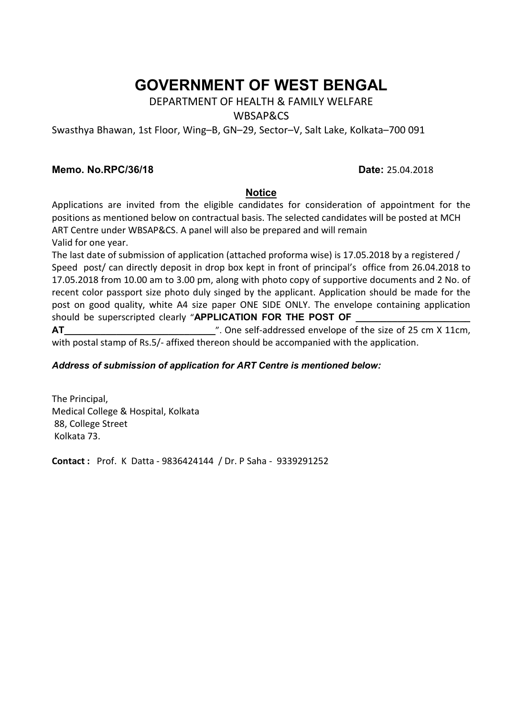# **GOVERNMENT OF WEST BENGAL**

# DEPARTMENT OF HEALTH & FAMILY WELFARE

#### WBSAP&CS

Swasthya Bhawan, 1st Floor, Wing–B, GN–29, Sector–V, Salt Lake, Kolkata–700 091

#### **Memo. No.RPC/36/18 Date:** 25.04.2018

#### **Notice**

Applications are invited from the eligible candidates for consideration of appointment for the positions as mentioned below on contractual basis. The selected candidates will be posted at MCH ART Centre under WBSAP&CS. A panel will also be prepared and will remain Valid for one year.

The last date of submission of application (attached proforma wise) is 17.05.2018 by a registered / Speed post/ can directly deposit in drop box kept in front of principal's office from 26.04.2018 to 17.05.2018 from 10.00 am to 3.00 pm, along with photo copy of supportive documents and 2 No. of recent color passport size photo duly singed by the applicant. Application should be made for the post on good quality, white A4 size paper ONE SIDE ONLY. The envelope containing application should be superscripted clearly "APPLICATION FOR THE POST OF

**AT\_\_\_\_\_\_\_\_\_\_\_\_\_\_\_\_\_\_\_\_\_\_\_\_\_\_\_\_\_**". One self-addressed envelope of the size of 25 cm X 11cm, with postal stamp of Rs.5/- affixed thereon should be accompanied with the application.

#### *Address of submission of application for ART Centre is mentioned below:*

The Principal, Medical College & Hospital, Kolkata 88, College Street Kolkata 73.

**Contact :** Prof. K Datta - 9836424144 / Dr. P Saha - 9339291252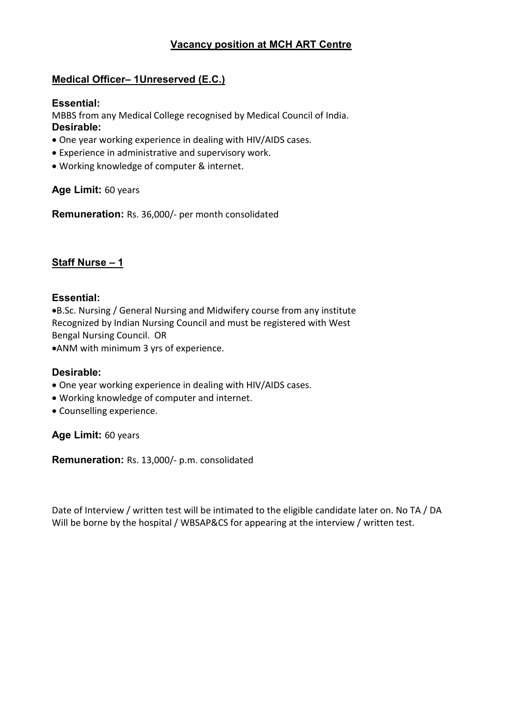# **Vacancy position at MCH ART Centre**

# **Medical Officer– 1Unreserved (E.C.)**

## **Essential:**

MBBS from any Medical College recognised by Medical Council of India. **Desirable:**

- One year working experience in dealing with HIV/AIDS cases.
- Experience in administrative and supervisory work.
- Working knowledge of computer & internet.

# **Age Limit:** 60 years

**Remuneration:** Rs. 36,000/- per month consolidated

# **Staff Nurse – 1**

## **Essential:**

B.Sc. Nursing / General Nursing and Midwifery course from any institute Recognized by Indian Nursing Council and must be registered with West Bengal Nursing Council. OR

ANM with minimum 3 yrs of experience.

#### **Desirable:**

- One year working experience in dealing with HIV/AIDS cases.
- Working knowledge of computer and internet.
- Counselling experience.

**Age Limit:** 60 years

**Remuneration:** Rs. 13,000/- p.m. consolidated

Date of Interview / written test will be intimated to the eligible candidate later on. No TA / DA Will be borne by the hospital / WBSAP&CS for appearing at the interview / written test.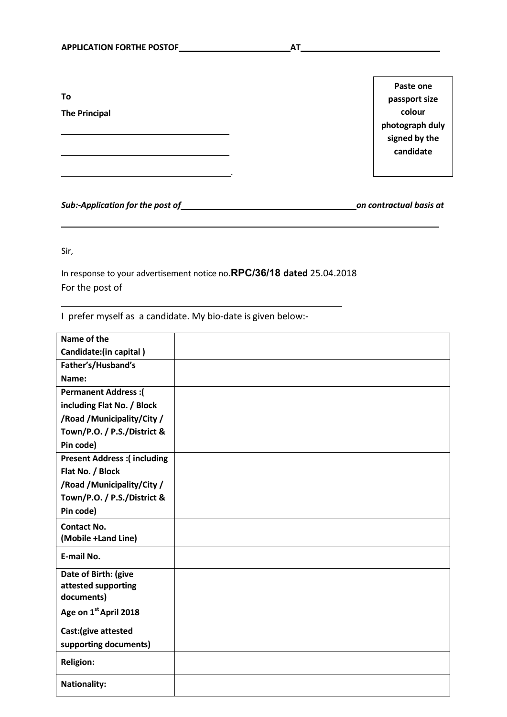**To**

**The Principal**

**Paste one passport size colour photograph duly signed by the candidate**

*Sub:-Application for the post of on contractual basis at*

Sir,

In response to your advertisement notice no.**RPC/36/18 dated** 25.04.2018 For the post of

.

I prefer myself as a candidate. My bio-date is given below:-

| Name of the                       |  |
|-----------------------------------|--|
| Candidate:(in capital)            |  |
| Father's/Husband's                |  |
| Name:                             |  |
| <b>Permanent Address:</b>         |  |
| including Flat No. / Block        |  |
| /Road / Municipality/City /       |  |
| Town/P.O. / P.S./District &       |  |
| Pin code)                         |  |
| Present Address :( including      |  |
| Flat No. / Block                  |  |
| /Road / Municipality/City /       |  |
| Town/P.O. / P.S./District &       |  |
| Pin code)                         |  |
| <b>Contact No.</b>                |  |
| (Mobile +Land Line)               |  |
| E-mail No.                        |  |
| Date of Birth: (give              |  |
| attested supporting               |  |
| documents)                        |  |
| Age on 1 <sup>st</sup> April 2018 |  |
| Cast: (give attested              |  |
| supporting documents)             |  |
| <b>Religion:</b>                  |  |
| <b>Nationality:</b>               |  |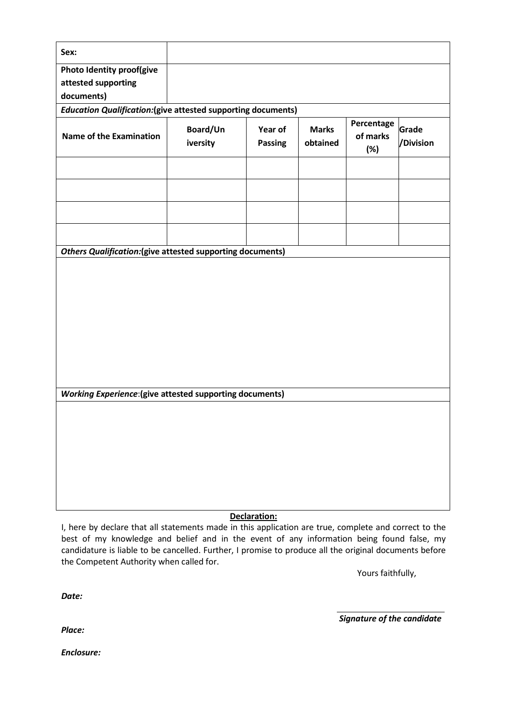| Photo Identity proof(give<br>attested supporting<br>documents)<br><b>Education Qualification:</b> (give attested supporting documents)<br>Percentage<br>Grade<br>Board/Un<br>Year of<br><b>Marks</b><br><b>Name of the Examination</b><br>of marks<br>/Division<br>iversity<br>obtained<br><b>Passing</b><br>(%)<br><b>Others Qualification: (give attested supporting documents)</b><br><b>Working Experience:</b> (give attested supporting documents)<br>Declaration: | Sex: |  |  |  |  |  |  |  |  |
|--------------------------------------------------------------------------------------------------------------------------------------------------------------------------------------------------------------------------------------------------------------------------------------------------------------------------------------------------------------------------------------------------------------------------------------------------------------------------|------|--|--|--|--|--|--|--|--|
|                                                                                                                                                                                                                                                                                                                                                                                                                                                                          |      |  |  |  |  |  |  |  |  |
|                                                                                                                                                                                                                                                                                                                                                                                                                                                                          |      |  |  |  |  |  |  |  |  |
|                                                                                                                                                                                                                                                                                                                                                                                                                                                                          |      |  |  |  |  |  |  |  |  |
|                                                                                                                                                                                                                                                                                                                                                                                                                                                                          |      |  |  |  |  |  |  |  |  |
|                                                                                                                                                                                                                                                                                                                                                                                                                                                                          |      |  |  |  |  |  |  |  |  |
|                                                                                                                                                                                                                                                                                                                                                                                                                                                                          |      |  |  |  |  |  |  |  |  |
|                                                                                                                                                                                                                                                                                                                                                                                                                                                                          |      |  |  |  |  |  |  |  |  |
|                                                                                                                                                                                                                                                                                                                                                                                                                                                                          |      |  |  |  |  |  |  |  |  |
|                                                                                                                                                                                                                                                                                                                                                                                                                                                                          |      |  |  |  |  |  |  |  |  |
|                                                                                                                                                                                                                                                                                                                                                                                                                                                                          |      |  |  |  |  |  |  |  |  |
|                                                                                                                                                                                                                                                                                                                                                                                                                                                                          |      |  |  |  |  |  |  |  |  |
|                                                                                                                                                                                                                                                                                                                                                                                                                                                                          |      |  |  |  |  |  |  |  |  |
|                                                                                                                                                                                                                                                                                                                                                                                                                                                                          |      |  |  |  |  |  |  |  |  |
|                                                                                                                                                                                                                                                                                                                                                                                                                                                                          |      |  |  |  |  |  |  |  |  |
|                                                                                                                                                                                                                                                                                                                                                                                                                                                                          |      |  |  |  |  |  |  |  |  |
|                                                                                                                                                                                                                                                                                                                                                                                                                                                                          |      |  |  |  |  |  |  |  |  |
|                                                                                                                                                                                                                                                                                                                                                                                                                                                                          |      |  |  |  |  |  |  |  |  |
|                                                                                                                                                                                                                                                                                                                                                                                                                                                                          |      |  |  |  |  |  |  |  |  |
|                                                                                                                                                                                                                                                                                                                                                                                                                                                                          |      |  |  |  |  |  |  |  |  |
|                                                                                                                                                                                                                                                                                                                                                                                                                                                                          |      |  |  |  |  |  |  |  |  |
|                                                                                                                                                                                                                                                                                                                                                                                                                                                                          |      |  |  |  |  |  |  |  |  |
|                                                                                                                                                                                                                                                                                                                                                                                                                                                                          |      |  |  |  |  |  |  |  |  |

I, here by declare that all statements made in this application are true, complete and correct to the best of my knowledge and belief and in the event of any information being found false, my candidature is liable to be cancelled. Further, I promise to produce all the original documents before the Competent Authority when called for.

Yours faithfully,

*Date:*

*Signature of the candidate*

*Place:*

*Enclosure:*